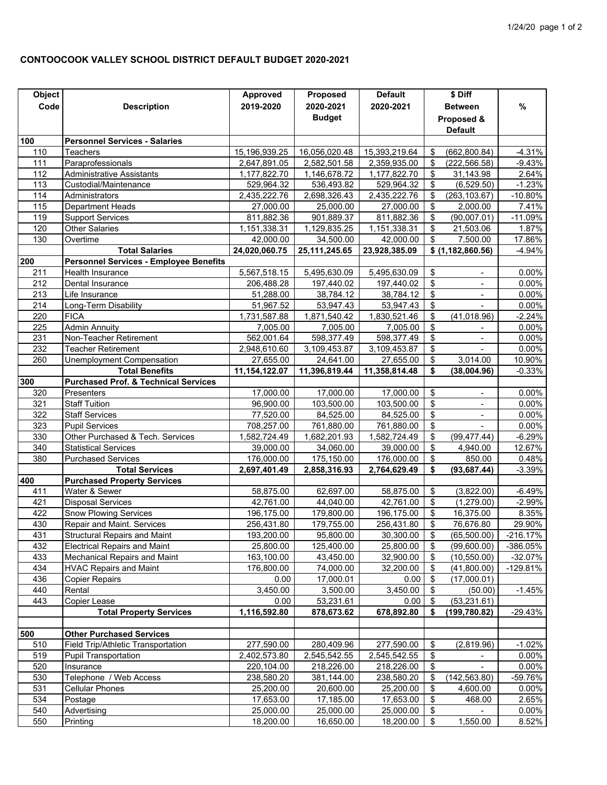## **CONTOOCOOK VALLEY SCHOOL DISTRICT DEFAULT BUDGET 2020-2021**

| Object |                                                 | Approved      | Proposed      | <b>Default</b> | \$ Diff                   |                          |            |
|--------|-------------------------------------------------|---------------|---------------|----------------|---------------------------|--------------------------|------------|
| Code   | <b>Description</b>                              | 2019-2020     | 2020-2021     | 2020-2021      | <b>Between</b>            |                          | $\%$       |
|        |                                                 |               | <b>Budget</b> |                | Proposed &                |                          |            |
|        |                                                 |               |               |                |                           | <b>Default</b>           |            |
| 100    | <b>Personnel Services - Salaries</b>            |               |               |                |                           |                          |            |
| 110    | <b>Teachers</b>                                 | 15,196,939.25 | 16,056,020.48 | 15,393,219.64  | \$                        | (662, 800.84)            | $-4.31%$   |
| 111    | Paraprofessionals                               | 2,647,891.05  | 2,582,501.58  | 2,359,935.00   | \$                        | (222, 566.58)            | $-9.43%$   |
| 112    | <b>Administrative Assistants</b>                | 1,177,822.70  | 1,146,678.72  | 1,177,822.70   | \$                        | 31,143.98                | 2.64%      |
| 113    | Custodial/Maintenance                           | 529,964.32    | 536,493.82    | 529,964.32     | \$                        | (6, 529.50)              | $-1.23%$   |
| 114    | Administrators                                  | 2,435,222.76  | 2,698,326.43  | 2,435,222.76   | \$                        | (263, 103.67)            | $-10.80%$  |
| 115    | Department Heads                                | 27,000.00     | 25,000.00     | 27,000.00      | \$                        | 2,000.00                 | 7.41%      |
| 119    | <b>Support Services</b>                         | 811,882.36    | 901,889.37    | 811,882.36     | \$                        | (90,007.01)              | $-11.09%$  |
| 120    | Other Salaries                                  | 1,151,338.31  | 1,129,835.25  | 1,151,338.31   | \$                        | 21,503.06                | 1.87%      |
| 130    | Overtime                                        | 42,000.00     | 34,500.00     | 42,000.00      | \$                        | 7,500.00                 | 17.86%     |
|        | <b>Total Salaries</b>                           | 24,020,060.75 | 25,111,245.65 | 23,928,385.09  |                           | \$ (1,182,860.56)        | $-4.94%$   |
| 200    | <b>Personnel Services - Employee Benefits</b>   |               |               |                |                           |                          |            |
| 211    | Health Insurance                                | 5,567,518.15  | 5,495,630.09  | 5,495,630.09   | \$                        | $\blacksquare$           | 0.00%      |
| 212    | Dental Insurance                                | 206,488.28    | 197,440.02    | 197,440.02     | \$                        | $\overline{\phantom{a}}$ | $0.00\%$   |
| 213    | Life Insurance                                  | 51,288.00     | 38,784.12     | 38,784.12      | \$                        | $\blacksquare$           | $0.00\%$   |
| 214    | Long-Term Disability                            | 51,967.52     | 53,947.43     | 53,947.43      | \$                        |                          | $0.00\%$   |
| 220    | <b>FICA</b>                                     | 1,731,587.88  | 1,871,540.42  | 1,830,521.46   | \$                        | (41, 018.96)             | $-2.24%$   |
| 225    | <b>Admin Annuity</b>                            | 7,005.00      | 7,005.00      | 7,005.00       | \$                        |                          | $0.00\%$   |
| 231    | Non-Teacher Retirement                          | 562,001.64    | 598,377.49    | 598,377.49     | \$                        | $\blacksquare$           | $0.00\%$   |
| 232    | <b>Teacher Retirement</b>                       | 2,948,610.60  | 3,109,453.87  | 3,109,453.87   | \$                        |                          | $0.00\%$   |
| 260    | Unemployment Compensation                       | 27,655.00     | 24,641.00     | 27,655.00      | \$                        | 3,014.00                 | 10.90%     |
|        | <b>Total Benefits</b>                           | 11,154,122.07 | 11,396,819.44 | 11,358,814.48  | \$                        | (38,004.96)              | $-0.33%$   |
| 300    | <b>Purchased Prof. &amp; Technical Services</b> |               |               |                |                           |                          |            |
| 320    | Presenters                                      | 17,000.00     | 17,000.00     | 17,000.00      | \$                        |                          | $0.00\%$   |
| 321    | <b>Staff Tuition</b>                            | 96,900.00     | 103,500.00    | 103,500.00     | \$                        | $\blacksquare$           | $0.00\%$   |
| 322    | <b>Staff Services</b>                           | 77,520.00     | 84,525.00     | 84,525.00      | $\overline{\mathbf{S}}$   | $\blacksquare$           | $0.00\%$   |
| 323    | <b>Pupil Services</b>                           | 708,257.00    | 761,880.00    | 761,880.00     | \$                        |                          | $0.00\%$   |
| 330    | Other Purchased & Tech. Services                | 1,582,724.49  | 1,682,201.93  | 1,582,724.49   | \$                        | (99, 477.44)             | $-6.29%$   |
| 340    | <b>Statistical Services</b>                     | 39,000.00     | 34,060.00     | 39,000.00      | \$                        | 4,940.00                 | 12.67%     |
| 380    | <b>Purchased Services</b>                       | 176,000.00    | 175,150.00    | 176,000.00     | \$                        | 850.00                   | 0.48%      |
|        | <b>Total Services</b>                           | 2,697,401.49  | 2,858,316.93  | 2,764,629.49   | \$                        | (93, 687.44)             | $-3.39%$   |
| 400    | <b>Purchased Property Services</b>              |               |               |                |                           |                          |            |
| 411    | Water & Sewer                                   | 58,875.00     | 62,697.00     | 58,875.00      | \$                        | (3,822.00)               | $-6.49%$   |
| 421    | <b>Disposal Services</b>                        | 42,761.00     | 44,040.00     | 42,761.00      | \$                        | (1,279.00)               | $-2.99%$   |
| 422    | <b>Snow Plowing Services</b>                    | 196,175.00    | 179,800.00    | 196,175.00     | \$                        | 16,375.00                | 8.35%      |
| 430    | Repair and Maint. Services                      | 256,431.80    | 179,755.00    | 256,431.80     | \$                        | 76,676.80                | 29.90%     |
| 431    | <b>Structural Repairs and Maint</b>             | 193,200.00    | 95,800.00     | 30,300.00      | \$                        | (65,500.00)              | $-216.17%$ |
| 432    | <b>Electrical Repairs and Maint</b>             | 25,800.00     | 125,400.00    | 25,800.00      | \$                        | (99,600.00)              | -386.05%   |
| 433    | Mechanical Repairs and Maint                    | 163,100.00    | 43,450.00     | 32,900.00      | \$                        | (10, 550.00)             | $-32.07\%$ |
| 434    | <b>HVAC Repairs and Maint</b>                   | 176,800.00    | 74,000.00     | 32,200.00      | \$                        | (41,800.00)              | $-129.81%$ |
| 436    | <b>Copier Repairs</b>                           | 0.00          | 17,000.01     | 0.00           | \$                        | (17,000.01)              |            |
| 440    | Rental                                          | 3,450.00      | 3,500.00      | 3,450.00       | \$                        | (50.00)                  | $-1.45%$   |
| 443    | Copier Lease                                    | 0.00          | 53,231.61     | 0.00           | \$                        | (53, 231.61)             |            |
|        | <b>Total Property Services</b>                  | 1,116,592.80  | 878,673.62    | 678,892.80     | \$                        | (199, 780.82)            | $-29.43%$  |
|        |                                                 |               |               |                |                           |                          |            |
| 500    | <b>Other Purchased Services</b>                 |               |               |                |                           |                          |            |
| 510    | Field Trip/Athletic Transportation              | 277,590.00    | 280,409.96    | 277,590.00     | \$                        | (2,819.96)               | $-1.02%$   |
| 519    | <b>Pupil Transportation</b>                     | 2,402,573.80  | 2,545,542.55  | 2,545,542.55   | \$                        |                          | $0.00\%$   |
| 520    | Insurance                                       | 220, 104.00   | 218,226.00    | 218,226.00     | \$                        |                          | $0.00\%$   |
| 530    | Telephone / Web Access                          | 238,580.20    | 381,144.00    | 238,580.20     | \$                        | (142, 563.80)            | -59.76%    |
| 531    | <b>Cellular Phones</b>                          | 25,200.00     | 20,600.00     | 25,200.00      | \$                        | 4,600.00                 | $0.00\%$   |
| 534    | Postage                                         | 17,653.00     | 17,185.00     | 17,653.00      | \$                        | 468.00                   | 2.65%      |
| 540    | Advertising                                     | 25,000.00     | 25,000.00     | 25,000.00      | \$                        |                          | $0.00\%$   |
| 550    | Printing                                        | 18,200.00     | 16,650.00     | 18,200.00      | $\boldsymbol{\mathsf{S}}$ | 1,550.00                 | 8.52%      |